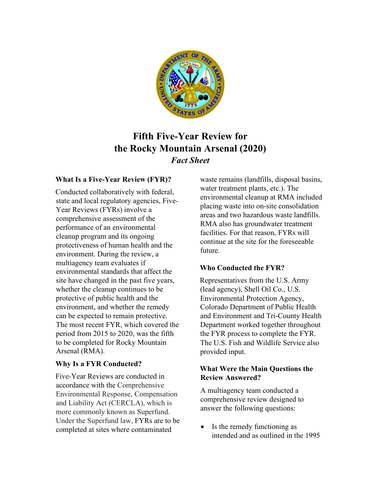

# **Fifth Five-Year Review for the Rocky Mountain Arsenal (2020)** *Fact Sheet*

# **What Is a Five-Year Review (FYR)?**

Conducted collaboratively with federal, state and local regulatory agencies, Five-Year Reviews (FYRs) involve a comprehensive assessment of the performance of an environmental cleanup program and its ongoing protectiveness of human health and the environment. During the review, a multiagency team evaluates if environmental standards that affect the site have changed in the past five years, whether the cleanup continues to be protective of public health and the environment, and whether the remedy can be expected to remain protective. The most recent FYR, which covered the period from 2015 to 2020, was the fifth to be completed for Rocky Mountain Arsenal (RMA).

# **Why Is a FYR Conducted?**

Five-Year Reviews are conducted in accordance with the Comprehensive Environmental Response, Compensation and Liability Act (CERCLA), which is more commonly known as Superfund. Under the Superfund law, FYRs are to be completed at sites where contaminated

waste remains (landfills, disposal basins, water treatment plants, etc.). The environmental cleanup at RMA included placing waste into on-site consolidation areas and two hazardous waste landfills. RMA also has groundwater treatment facilities. For that reason, FYRs will continue at the site for the foreseeable future.

# **Who Conducted the FYR?**

Representatives from the U.S. Army (lead agency), Shell Oil Co., U.S. Environmental Protection Agency, Colorado Department of Public Health and Environment and Tri-County Health Department worked together throughout the FYR process to complete the FYR. The U.S. Fish and Wildlife Service also provided input.

## **What Were the Main Questions the Review Answered?**

A multiagency team conducted a comprehensive review designed to answer the following questions:

• Is the remedy functioning as intended and as outlined in the 1995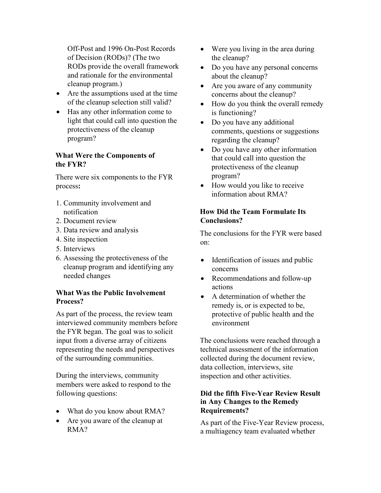Off-Post and 1996 On-Post Records of Decision (RODs)? (The two RODs provide the overall framework and rationale for the environmental cleanup program.)

- Are the assumptions used at the time of the cleanup selection still valid?
- Has any other information come to light that could call into question the protectiveness of the cleanup program?

# **What Were the Components of the FYR?**

There were six components to the FYR process**:**

- 1. Community involvement and notification
- 2. Document review
- 3. Data review and analysis
- 4. Site inspection
- 5. Interviews
- 6. Assessing the protectiveness of the cleanup program and identifying any needed changes

## **What Was the Public Involvement Process?**

As part of the process, the review team interviewed community members before the FYR began. The goal was to solicit input from a diverse array of citizens representing the needs and perspectives of the surrounding communities.

During the interviews, community members were asked to respond to the following questions:

- What do you know about RMA?
- Are you aware of the cleanup at RMA?
- Were you living in the area during the cleanup?
- Do you have any personal concerns about the cleanup?
- Are you aware of any community concerns about the cleanup?
- How do you think the overall remedy is functioning?
- Do you have any additional comments, questions or suggestions regarding the cleanup?
- Do you have any other information that could call into question the protectiveness of the cleanup program?
- How would you like to receive information about RMA?

# **How Did the Team Formulate Its Conclusions?**

The conclusions for the FYR were based on:

- Identification of issues and public concerns
- Recommendations and follow-up actions
- A determination of whether the remedy is, or is expected to be, protective of public health and the environment

The conclusions were reached through a technical assessment of the information collected during the document review, data collection, interviews, site inspection and other activities.

## **Did the fifth Five-Year Review Result in Any Changes to the Remedy Requirements?**

As part of the Five-Year Review process, a multiagency team evaluated whether